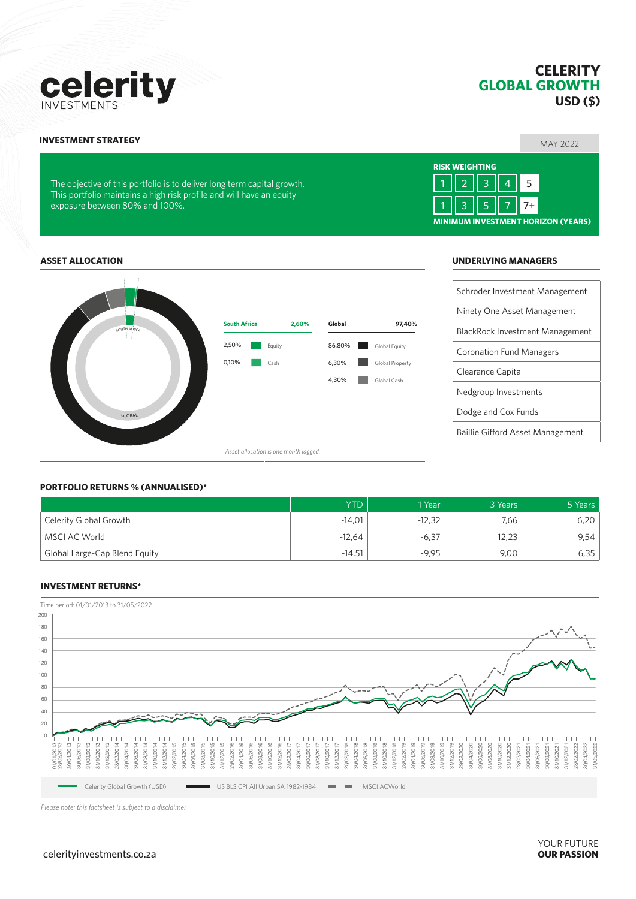#### $celerityinvestments.co.za$

# **CELERITY GLOBAL GROWTH USD (\$)**

### MAY 2022 **INVESTMENT STRATEGY**

This portfolio maintains a high risk profile and will have an equity exposure between 80% and 100%.

# Schroder Investment Management **ASSET ALLOCATION UNDERLYING MANAGERS**



# *Asset allocation is one month lagged.*

Equity Cash

2,50% 0,10%

#### **PORTFOLIO RETURNS % (ANNUALISED)\***

GLOBAL.

SOUTH AFRICA

|                               | <b>YTD</b> | 1 Year   | 3 Years | 5 Years |
|-------------------------------|------------|----------|---------|---------|
| ' Celerity Global Growth      | $-14.01$   | $-12,32$ | 7,66    | 6,20    |
| MSCI AC World                 | $-12.64$   | -6,37    | 12.23   | 9,54    |
| Global Large-Cap Blend Equity | $-14,51$   | $-9.95$  | 9,00    | 6,35    |

6,30% 4,30%

**South Africa 2,60% Global 97,40%**

#### **INVESTMENT RETURNS\***



*Please note: this factsheet is subject to a disclaimer.*

The objective of this portfolio is to deliver long term capital growth.

**RISK WEIGHTING MINIMUM INVESTMENT HORIZON (YEARS)** 1 || 2 || 3 || 4 || 5 1 || 3 || 5 || 7 || 7+

Ninety One Asset Management

# **Celerity**